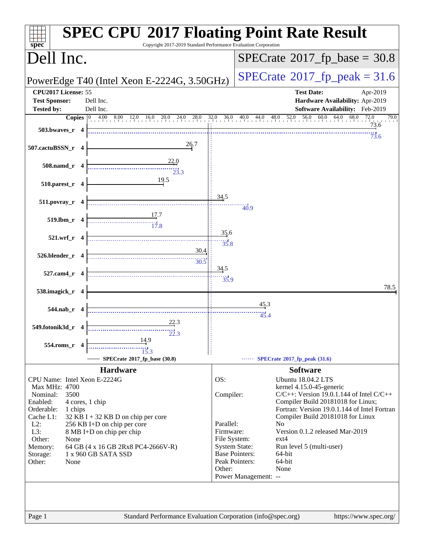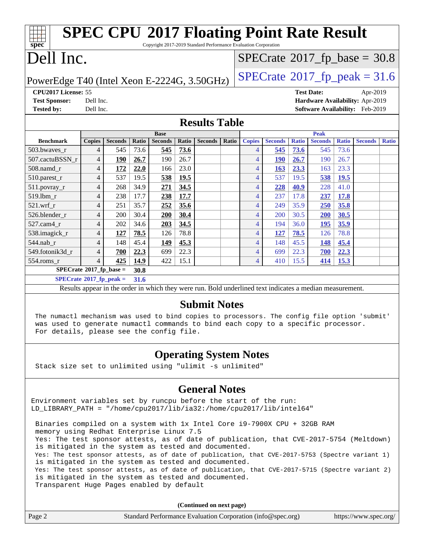| <b>SPEC CPU®2017 Floating Point Rate Result</b>                                                          |                |                |       |                |             |                |       |                |                |              |                |                                             |                                 |              |
|----------------------------------------------------------------------------------------------------------|----------------|----------------|-------|----------------|-------------|----------------|-------|----------------|----------------|--------------|----------------|---------------------------------------------|---------------------------------|--------------|
| spec<br>Copyright 2017-2019 Standard Performance Evaluation Corporation                                  |                |                |       |                |             |                |       |                |                |              |                |                                             |                                 |              |
| Dell Inc.                                                                                                |                |                |       |                |             |                |       |                |                |              |                | $SPECTate$ <sup>®</sup> 2017_fp_base = 30.8 |                                 |              |
| $SPECTate@2017fp peak = 31.6$<br>PowerEdge T40 (Intel Xeon E-2224G, 3.50GHz)                             |                |                |       |                |             |                |       |                |                |              |                |                                             |                                 |              |
| CPU2017 License: 55<br><b>Test Date:</b><br>Apr-2019                                                     |                |                |       |                |             |                |       |                |                |              |                |                                             |                                 |              |
| <b>Test Sponsor:</b><br>Hardware Availability: Apr-2019<br>Dell Inc.                                     |                |                |       |                |             |                |       |                |                |              |                |                                             |                                 |              |
| <b>Tested by:</b>                                                                                        | Dell Inc.      |                |       |                |             |                |       |                |                |              |                |                                             | Software Availability: Feb-2019 |              |
| <b>Results Table</b>                                                                                     |                |                |       |                |             |                |       |                |                |              |                |                                             |                                 |              |
|                                                                                                          |                |                |       | <b>Base</b>    |             |                |       |                |                |              | <b>Peak</b>    |                                             |                                 |              |
| <b>Benchmark</b>                                                                                         | <b>Copies</b>  | <b>Seconds</b> | Ratio | <b>Seconds</b> | Ratio       | <b>Seconds</b> | Ratio | <b>Copies</b>  | <b>Seconds</b> | <b>Ratio</b> | <b>Seconds</b> | <b>Ratio</b>                                | <b>Seconds</b>                  | <b>Ratio</b> |
| 503.bwaves_r                                                                                             | 4              | 545            | 73.6  | 545            | 73.6        |                |       | 4              | 545            | 73.6         | 545            | 73.6                                        |                                 |              |
| 507.cactuBSSN r                                                                                          | $\overline{4}$ | 190            | 26.7  | 190            | 26.7        |                |       | 4              | <b>190</b>     | 26.7         | 190            | 26.7                                        |                                 |              |
| 508.namd_r                                                                                               | $\overline{4}$ | 172            | 22.0  | 166            | 23.0        |                |       | 4              | 163            | 23.3         | 163            | 23.3                                        |                                 |              |
| 510.parest_r                                                                                             | $\overline{4}$ | 537            | 19.5  | 538            | <b>19.5</b> |                |       | 4              | 537            | 19.5         | 538            | 19.5                                        |                                 |              |
| $511.$ povray_r                                                                                          | 4              | 268            | 34.9  | 271            | 34.5        |                |       | 4              | 228            | 40.9         | 228            | 41.0                                        |                                 |              |
| 519.1bm_r                                                                                                | 4              | 238            | 17.7  | 238            | 17.7        |                |       | 4              | 237            | 17.8         | 237            | 17.8                                        |                                 |              |
| $521$ .wrf r                                                                                             | 4              | 251            | 35.7  | 252            | 35.6        |                |       | 4              | 249            | 35.9         | 250            | 35.8                                        |                                 |              |
| 526.blender_r                                                                                            | 4              | 200            | 30.4  | 200            | 30.4        |                |       | 4              | 200            | 30.5         | <b>200</b>     | 30.5                                        |                                 |              |
| 527.cam4 r                                                                                               | 4              | 202            | 34.6  | 203            | 34.5        |                |       | 4              | 194            | 36.0         | 195            | 35.9                                        |                                 |              |
| 538.imagick_r                                                                                            | 4              | 127            | 78.5  | 126            | 78.8        |                |       | $\overline{4}$ | 127            | 78.5         | 126            | 78.8                                        |                                 |              |
| 544.nab r                                                                                                | 4              | 148            | 45.4  | 149            | 45.3        |                |       | $\overline{4}$ | 148            | 45.5         | 148            | 45.4                                        |                                 |              |
| 549.fotonik3d r                                                                                          | 4              | 700            | 22.3  | 699            | 22.3        |                |       | $\overline{4}$ | 699            | 22.3         | 700            | 22.3                                        |                                 |              |
| $554$ .roms_r                                                                                            | $\overline{4}$ | 425            | 14.9  | 422            | 15.1        |                |       | $\overline{4}$ | 410            | 15.5         | 414            | 15.3                                        |                                 |              |
| $SPECrate^*2017_fp\_base =$<br>30.8                                                                      |                |                |       |                |             |                |       |                |                |              |                |                                             |                                 |              |
| $SPECrate*2017_fp\_peak =$<br>31.6                                                                       |                |                |       |                |             |                |       |                |                |              |                |                                             |                                 |              |
| Results appear in the order in which they were run. Bold underlined text indicates a median measurement. |                |                |       |                |             |                |       |                |                |              |                |                                             |                                 |              |
|                                                                                                          |                |                |       |                |             |                |       |                |                |              |                |                                             |                                 |              |

#### **[Submit Notes](http://www.spec.org/auto/cpu2017/Docs/result-fields.html#SubmitNotes)**

 The numactl mechanism was used to bind copies to processors. The config file option 'submit' was used to generate numactl commands to bind each copy to a specific processor. For details, please see the config file.

### **[Operating System Notes](http://www.spec.org/auto/cpu2017/Docs/result-fields.html#OperatingSystemNotes)**

Stack size set to unlimited using "ulimit -s unlimited"

#### **[General Notes](http://www.spec.org/auto/cpu2017/Docs/result-fields.html#GeneralNotes)**

Environment variables set by runcpu before the start of the run: LD\_LIBRARY\_PATH = "/home/cpu2017/lib/ia32:/home/cpu2017/lib/intel64"

 Binaries compiled on a system with 1x Intel Core i9-7900X CPU + 32GB RAM memory using Redhat Enterprise Linux 7.5 Yes: The test sponsor attests, as of date of publication, that CVE-2017-5754 (Meltdown) is mitigated in the system as tested and documented. Yes: The test sponsor attests, as of date of publication, that CVE-2017-5753 (Spectre variant 1) is mitigated in the system as tested and documented. Yes: The test sponsor attests, as of date of publication, that CVE-2017-5715 (Spectre variant 2) is mitigated in the system as tested and documented. Transparent Huge Pages enabled by default

**(Continued on next page)**

| Page 2 | Standard Performance Evaluation Corporation (info@spec.org) | https://www.spec.org/ |
|--------|-------------------------------------------------------------|-----------------------|
|        |                                                             |                       |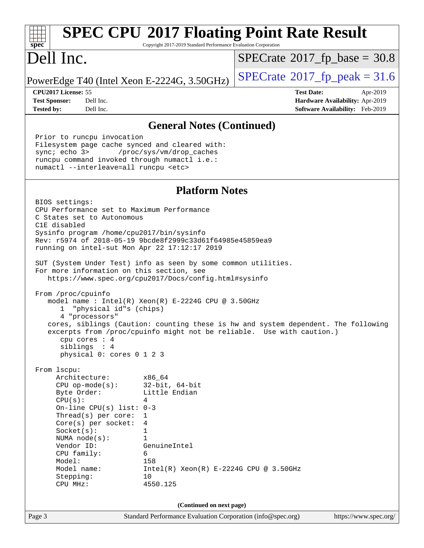| <b>SPEC CPU®2017 Floating Point Rate Result</b><br>spec<br>Copyright 2017-2019 Standard Performance Evaluation Corporation                                                                                                                                                                                                                                                                                                                                                                                                                                                                                                                   |                                                                                                                                                                               |                                                                                                                                                             |  |  |  |  |
|----------------------------------------------------------------------------------------------------------------------------------------------------------------------------------------------------------------------------------------------------------------------------------------------------------------------------------------------------------------------------------------------------------------------------------------------------------------------------------------------------------------------------------------------------------------------------------------------------------------------------------------------|-------------------------------------------------------------------------------------------------------------------------------------------------------------------------------|-------------------------------------------------------------------------------------------------------------------------------------------------------------|--|--|--|--|
| Dell Inc.                                                                                                                                                                                                                                                                                                                                                                                                                                                                                                                                                                                                                                    |                                                                                                                                                                               | $SPECrate^{\circ}2017$ fp base = 30.8                                                                                                                       |  |  |  |  |
| PowerEdge T40 (Intel Xeon E-2224G, 3.50GHz)                                                                                                                                                                                                                                                                                                                                                                                                                                                                                                                                                                                                  |                                                                                                                                                                               | $SPECrate$ <sup>®</sup> 2017_fp_peak = 31.6                                                                                                                 |  |  |  |  |
| CPU2017 License: 55<br><b>Test Sponsor:</b><br>Dell Inc.<br>Dell Inc.<br><b>Tested by:</b>                                                                                                                                                                                                                                                                                                                                                                                                                                                                                                                                                   |                                                                                                                                                                               | <b>Test Date:</b><br>Apr-2019<br>Hardware Availability: Apr-2019<br><b>Software Availability:</b> Feb-2019                                                  |  |  |  |  |
|                                                                                                                                                                                                                                                                                                                                                                                                                                                                                                                                                                                                                                              | <b>General Notes (Continued)</b>                                                                                                                                              |                                                                                                                                                             |  |  |  |  |
| Prior to runcpu invocation<br>Filesystem page cache synced and cleared with:<br>sync; echo 3><br>/proc/sys/vm/drop_caches<br>runcpu command invoked through numactl i.e.:<br>numactl --interleave=all runcpu <etc></etc>                                                                                                                                                                                                                                                                                                                                                                                                                     |                                                                                                                                                                               |                                                                                                                                                             |  |  |  |  |
|                                                                                                                                                                                                                                                                                                                                                                                                                                                                                                                                                                                                                                              | <b>Platform Notes</b>                                                                                                                                                         |                                                                                                                                                             |  |  |  |  |
| BIOS settings:<br>CPU Performance set to Maximum Performance<br>C States set to Autonomous<br>C1E disabled<br>Sysinfo program /home/cpu2017/bin/sysinfo<br>Rev: r5974 of 2018-05-19 9bcde8f2999c33d61f64985e45859ea9<br>running on intel-sut Mon Apr 22 17:12:17 2019<br>SUT (System Under Test) info as seen by some common utilities.<br>For more information on this section, see<br>https://www.spec.org/cpu2017/Docs/config.html#sysinfo<br>From /proc/cpuinfo<br>model name : Intel(R) Xeon(R) E-2224G CPU @ 3.50GHz<br>"physical id"s (chips)<br>ı.<br>4 "processors"<br>cpu cores $: 4$<br>siblings : 4<br>physical 0: cores 0 1 2 3 |                                                                                                                                                                               | cores, siblings (Caution: counting these is hw and system dependent. The following<br>excerpts from /proc/cpuinfo might not be reliable. Use with caution.) |  |  |  |  |
| From lscpu:<br>Architecture:<br>$CPU$ op-mode(s):<br>Byte Order:<br>CPU(s):<br>On-line CPU(s) list: $0-3$<br>Thread(s) per core:<br>$Core(s)$ per socket:<br>Socket(s):<br>NUMA $node(s):$<br>Vendor ID:<br>CPU family:<br>Model:<br>Model name:<br>Stepping:<br>CPU MHz:                                                                                                                                                                                                                                                                                                                                                                    | x86_64<br>$32$ -bit, $64$ -bit<br>Little Endian<br>4<br>1<br>4<br>1<br>$\mathbf{1}$<br>GenuineIntel<br>6<br>158<br>$Intel(R)$ Xeon(R) E-2224G CPU @ 3.50GHz<br>10<br>4550.125 |                                                                                                                                                             |  |  |  |  |
| (Continued on next page)<br>Standard Performance Evaluation Corporation (info@spec.org)                                                                                                                                                                                                                                                                                                                                                                                                                                                                                                                                                      |                                                                                                                                                                               |                                                                                                                                                             |  |  |  |  |
| Page 3                                                                                                                                                                                                                                                                                                                                                                                                                                                                                                                                                                                                                                       |                                                                                                                                                                               | https://www.spec.org/                                                                                                                                       |  |  |  |  |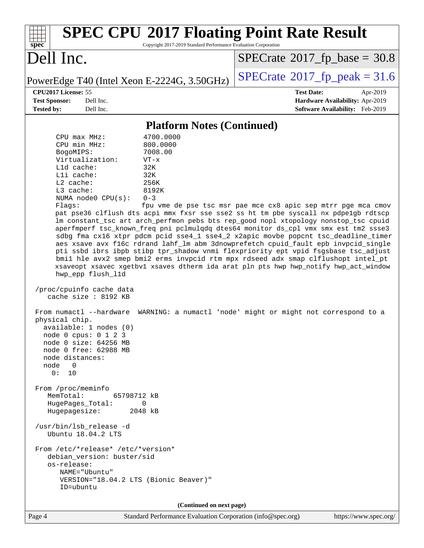| <b>SPEC CPU®2017 Floating Point Rate Result</b><br>Copyright 2017-2019 Standard Performance Evaluation Corporation<br>$spec^*$                                                                                                                                                                                                                                                                                                                                                                                                                                                                                                                                                                                                                                                                                                                                                                                                                                                                                                                                                                                                                                                                                                                                                                                                                                                                                                                                                                                                                                                                                                                                                   |                                                                                                     |  |  |  |  |  |
|----------------------------------------------------------------------------------------------------------------------------------------------------------------------------------------------------------------------------------------------------------------------------------------------------------------------------------------------------------------------------------------------------------------------------------------------------------------------------------------------------------------------------------------------------------------------------------------------------------------------------------------------------------------------------------------------------------------------------------------------------------------------------------------------------------------------------------------------------------------------------------------------------------------------------------------------------------------------------------------------------------------------------------------------------------------------------------------------------------------------------------------------------------------------------------------------------------------------------------------------------------------------------------------------------------------------------------------------------------------------------------------------------------------------------------------------------------------------------------------------------------------------------------------------------------------------------------------------------------------------------------------------------------------------------------|-----------------------------------------------------------------------------------------------------|--|--|--|--|--|
| Dell Inc.                                                                                                                                                                                                                                                                                                                                                                                                                                                                                                                                                                                                                                                                                                                                                                                                                                                                                                                                                                                                                                                                                                                                                                                                                                                                                                                                                                                                                                                                                                                                                                                                                                                                        | $SPECrate^{\circ}2017_fp\_base = 30.8$                                                              |  |  |  |  |  |
| PowerEdge T40 (Intel Xeon E-2224G, 3.50GHz)                                                                                                                                                                                                                                                                                                                                                                                                                                                                                                                                                                                                                                                                                                                                                                                                                                                                                                                                                                                                                                                                                                                                                                                                                                                                                                                                                                                                                                                                                                                                                                                                                                      | $SPECTate@2017fp peak = 31.6$                                                                       |  |  |  |  |  |
| CPU2017 License: 55<br><b>Test Sponsor:</b><br>Dell Inc.<br><b>Tested by:</b><br>Dell Inc.                                                                                                                                                                                                                                                                                                                                                                                                                                                                                                                                                                                                                                                                                                                                                                                                                                                                                                                                                                                                                                                                                                                                                                                                                                                                                                                                                                                                                                                                                                                                                                                       | <b>Test Date:</b><br>Apr-2019<br>Hardware Availability: Apr-2019<br>Software Availability: Feb-2019 |  |  |  |  |  |
|                                                                                                                                                                                                                                                                                                                                                                                                                                                                                                                                                                                                                                                                                                                                                                                                                                                                                                                                                                                                                                                                                                                                                                                                                                                                                                                                                                                                                                                                                                                                                                                                                                                                                  |                                                                                                     |  |  |  |  |  |
| <b>Platform Notes (Continued)</b><br>4700.0000<br>$CPU$ max $MHz$ :<br>CPU min MHz:<br>800.0000<br>7008.00<br>BogoMIPS:<br>Virtualization:<br>$VT - x$<br>L1d cache:<br>32K<br>Lli cache:<br>32K<br>$L2$ cache:<br>256K<br>L3 cache:<br>8192K<br>NUMA node0 CPU(s):<br>$0 - 3$<br>Flags:<br>fpu vme de pse tsc msr pae mce cx8 apic sep mtrr pge mca cmov<br>pat pse36 clflush dts acpi mmx fxsr sse sse2 ss ht tm pbe syscall nx pdpelgb rdtscp<br>lm constant_tsc art arch_perfmon pebs bts rep_good nopl xtopology nonstop_tsc cpuid<br>aperfmperf tsc_known_freq pni pclmulqdq dtes64 monitor ds_cpl vmx smx est tm2 ssse3<br>sdbg fma cx16 xtpr pdcm pcid sse4_1 sse4_2 x2apic movbe popcnt tsc_deadline_timer<br>aes xsave avx f16c rdrand lahf_lm abm 3dnowprefetch cpuid_fault epb invpcid_single<br>pti ssbd ibrs ibpb stibp tpr_shadow vnmi flexpriority ept vpid fsgsbase tsc_adjust<br>bmil hle avx2 smep bmi2 erms invpcid rtm mpx rdseed adx smap clflushopt intel_pt<br>xsaveopt xsavec xgetbvl xsaves dtherm ida arat pln pts hwp hwp_notify hwp_act_window<br>hwp_epp flush_11d<br>/proc/cpuinfo cache data<br>cache size : 8192 KB<br>WARNING: a numactl 'node' might or might not correspond to a<br>From numactl --hardware<br>physical chip.<br>available: 1 nodes (0)<br>node 0 cpus: 0 1 2 3<br>node 0 size: 64256 MB<br>node 0 free: 62988 MB<br>node distances:<br>node<br>$\overline{\phantom{0}}$<br>0: 10<br>From /proc/meminfo<br>MemTotal:<br>65798712 kB<br>HugePages_Total:<br>0<br>Hugepagesize:<br>2048 kB<br>/usr/bin/lsb_release -d<br>Ubuntu 18.04.2 LTS<br>From /etc/*release* /etc/*version*<br>debian_version: buster/sid<br>os-release: |                                                                                                     |  |  |  |  |  |
| (Continued on next page)                                                                                                                                                                                                                                                                                                                                                                                                                                                                                                                                                                                                                                                                                                                                                                                                                                                                                                                                                                                                                                                                                                                                                                                                                                                                                                                                                                                                                                                                                                                                                                                                                                                         |                                                                                                     |  |  |  |  |  |

Page 4 Standard Performance Evaluation Corporation [\(info@spec.org\)](mailto:info@spec.org) <https://www.spec.org/>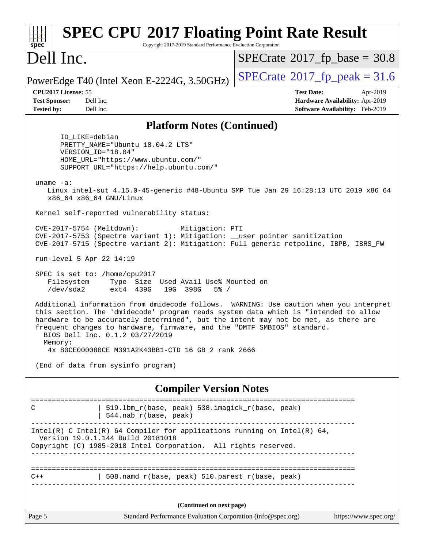| <b>SPEC CPU®2017 Floating Point Rate Result</b><br>spec<br>Copyright 2017-2019 Standard Performance Evaluation Corporation                                                                                                                                                                                                                                                        |                                                                                                     |  |  |  |  |
|-----------------------------------------------------------------------------------------------------------------------------------------------------------------------------------------------------------------------------------------------------------------------------------------------------------------------------------------------------------------------------------|-----------------------------------------------------------------------------------------------------|--|--|--|--|
| Dell Inc.                                                                                                                                                                                                                                                                                                                                                                         | $SPECrate^{\circ}2017$ fp base = 30.8                                                               |  |  |  |  |
| PowerEdge T40 (Intel Xeon E-2224G, 3.50GHz)                                                                                                                                                                                                                                                                                                                                       | $SPECTate@2017fp peak = 31.6$                                                                       |  |  |  |  |
| CPU2017 License: 55<br><b>Test Sponsor:</b><br>Dell Inc.<br><b>Tested by:</b><br>Dell Inc.                                                                                                                                                                                                                                                                                        | <b>Test Date:</b><br>Apr-2019<br>Hardware Availability: Apr-2019<br>Software Availability: Feb-2019 |  |  |  |  |
| <b>Platform Notes (Continued)</b>                                                                                                                                                                                                                                                                                                                                                 |                                                                                                     |  |  |  |  |
| ID LIKE=debian<br>PRETTY_NAME="Ubuntu 18.04.2 LTS"<br>VERSION_ID="18.04"<br>HOME_URL="https://www.ubuntu.com/"<br>SUPPORT_URL="https://help.ubuntu.com/"                                                                                                                                                                                                                          |                                                                                                     |  |  |  |  |
| uname $-a$ :<br>Linux intel-sut 4.15.0-45-generic #48-Ubuntu SMP Tue Jan 29 16:28:13 UTC 2019 x86_64<br>x86_64 x86_64 GNU/Linux                                                                                                                                                                                                                                                   |                                                                                                     |  |  |  |  |
| Kernel self-reported vulnerability status:                                                                                                                                                                                                                                                                                                                                        |                                                                                                     |  |  |  |  |
| CVE-2017-5754 (Meltdown):<br>Mitigation: PTI<br>CVE-2017-5753 (Spectre variant 1): Mitigation: __user pointer sanitization<br>CVE-2017-5715 (Spectre variant 2): Mitigation: Full generic retpoline, IBPB, IBRS_FW                                                                                                                                                                |                                                                                                     |  |  |  |  |
| run-level 5 Apr 22 14:19                                                                                                                                                                                                                                                                                                                                                          |                                                                                                     |  |  |  |  |
| SPEC is set to: /home/cpu2017<br>Type Size Used Avail Use% Mounted on<br>Filesystem<br>/dev/sda2<br>ext4 439G<br>19G 398G<br>$5\%$ /                                                                                                                                                                                                                                              |                                                                                                     |  |  |  |  |
| Additional information from dmidecode follows. WARNING: Use caution when you interpret<br>this section. The 'dmidecode' program reads system data which is "intended to allow<br>hardware to be accurately determined", but the intent may not be met, as there are<br>frequent changes to hardware, firmware, and the "DMTF SMBIOS" standard.<br>BIOS Dell Inc. 0.1.2 03/27/2019 |                                                                                                     |  |  |  |  |
| Memory:<br>4x 80CE000080CE M391A2K43BB1-CTD 16 GB 2 rank 2666                                                                                                                                                                                                                                                                                                                     |                                                                                                     |  |  |  |  |
| (End of data from sysinfo program)                                                                                                                                                                                                                                                                                                                                                |                                                                                                     |  |  |  |  |
| <b>Compiler Version Notes</b>                                                                                                                                                                                                                                                                                                                                                     |                                                                                                     |  |  |  |  |
| ===============================<br>519.1bm_r(base, peak) 538.imagick_r(base, peak)<br>С<br>544.nab_r(base, peak)                                                                                                                                                                                                                                                                  |                                                                                                     |  |  |  |  |
| Intel(R) C Intel(R) 64 Compiler for applications running on Intel(R) 64,<br>Version 19.0.1.144 Build 20181018<br>Copyright (C) 1985-2018 Intel Corporation. All rights reserved.                                                                                                                                                                                                  |                                                                                                     |  |  |  |  |
| 508.namd_r(base, peak) 510.parest_r(base, peak)<br>$C++$                                                                                                                                                                                                                                                                                                                          |                                                                                                     |  |  |  |  |
| (Continued on next page)                                                                                                                                                                                                                                                                                                                                                          |                                                                                                     |  |  |  |  |
| Page 5<br>Standard Performance Evaluation Corporation (info@spec.org)                                                                                                                                                                                                                                                                                                             | https://www.spec.org/                                                                               |  |  |  |  |
|                                                                                                                                                                                                                                                                                                                                                                                   |                                                                                                     |  |  |  |  |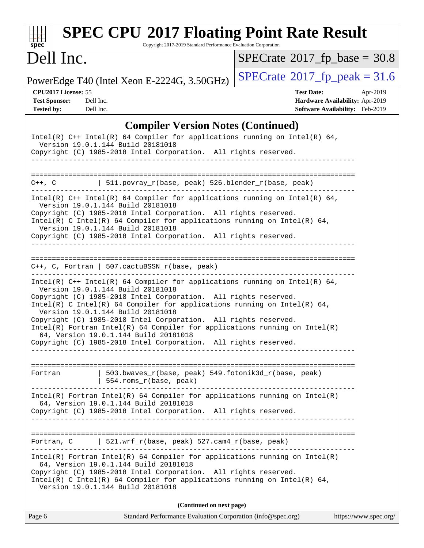| spec <sup>®</sup>                                                                                                                                                                                                                                                                                         | <b>SPEC CPU®2017 Floating Point Rate Result</b><br>Copyright 2017-2019 Standard Performance Evaluation Corporation                                                                                                                                                                                                                                                     |                                        |                                                                                |  |  |  |
|-----------------------------------------------------------------------------------------------------------------------------------------------------------------------------------------------------------------------------------------------------------------------------------------------------------|------------------------------------------------------------------------------------------------------------------------------------------------------------------------------------------------------------------------------------------------------------------------------------------------------------------------------------------------------------------------|----------------------------------------|--------------------------------------------------------------------------------|--|--|--|
| Dell Inc.                                                                                                                                                                                                                                                                                                 |                                                                                                                                                                                                                                                                                                                                                                        | $SPECrate^{\circ}2017$ fp base = 30.8  |                                                                                |  |  |  |
|                                                                                                                                                                                                                                                                                                           | PowerEdge T40 (Intel Xeon E-2224G, 3.50GHz)                                                                                                                                                                                                                                                                                                                            | $SPECrate^{\circ}2017_fp\_peak = 31.6$ |                                                                                |  |  |  |
| CPU2017 License: 55<br><b>Test Sponsor:</b><br><b>Tested by:</b>                                                                                                                                                                                                                                          | Dell Inc.<br>Dell Inc.                                                                                                                                                                                                                                                                                                                                                 | <b>Test Date:</b>                      | Apr-2019<br>Hardware Availability: Apr-2019<br>Software Availability: Feb-2019 |  |  |  |
|                                                                                                                                                                                                                                                                                                           | <b>Compiler Version Notes (Continued)</b>                                                                                                                                                                                                                                                                                                                              |                                        |                                                                                |  |  |  |
|                                                                                                                                                                                                                                                                                                           | Intel(R) $C++$ Intel(R) 64 Compiler for applications running on Intel(R) 64,<br>Version 19.0.1.144 Build 20181018<br>Copyright (C) 1985-2018 Intel Corporation. All rights reserved.                                                                                                                                                                                   |                                        |                                                                                |  |  |  |
| $C++$ , $C$                                                                                                                                                                                                                                                                                               | 511.povray_r(base, peak) 526.blender_r(base, peak)                                                                                                                                                                                                                                                                                                                     |                                        |                                                                                |  |  |  |
|                                                                                                                                                                                                                                                                                                           | Intel(R) C++ Intel(R) 64 Compiler for applications running on Intel(R) 64,<br>Version 19.0.1.144 Build 20181018<br>Copyright (C) 1985-2018 Intel Corporation. All rights reserved.<br>Intel(R) C Intel(R) 64 Compiler for applications running on Intel(R) 64,<br>Version 19.0.1.144 Build 20181018<br>Copyright (C) 1985-2018 Intel Corporation. All rights reserved. |                                        |                                                                                |  |  |  |
|                                                                                                                                                                                                                                                                                                           | $C++$ , C, Fortran   507.cactuBSSN_r(base, peak)                                                                                                                                                                                                                                                                                                                       | ___________________________________    |                                                                                |  |  |  |
| Intel(R) $C++$ Intel(R) 64 Compiler for applications running on Intel(R) 64,<br>Version 19.0.1.144 Build 20181018<br>Copyright (C) 1985-2018 Intel Corporation. All rights reserved.<br>Intel(R) C Intel(R) 64 Compiler for applications running on Intel(R) 64,<br>Version 19.0.1.144 Build 20181018     |                                                                                                                                                                                                                                                                                                                                                                        |                                        |                                                                                |  |  |  |
|                                                                                                                                                                                                                                                                                                           | Copyright (C) 1985-2018 Intel Corporation. All rights reserved.<br>$Intel(R)$ Fortran Intel(R) 64 Compiler for applications running on Intel(R)<br>64, Version 19.0.1.144 Build 20181018<br>Copyright (C) 1985-2018 Intel Corporation. All rights reserved.                                                                                                            |                                        |                                                                                |  |  |  |
| Fortran                                                                                                                                                                                                                                                                                                   | 503.bwaves_r(base, peak) 549.fotonik3d_r(base, peak)<br>554.roms_r(base, peak)                                                                                                                                                                                                                                                                                         |                                        |                                                                                |  |  |  |
| $Intel(R)$ Fortran Intel(R) 64 Compiler for applications running on Intel(R)<br>64, Version 19.0.1.144 Build 20181018<br>Copyright (C) 1985-2018 Intel Corporation. All rights reserved.                                                                                                                  |                                                                                                                                                                                                                                                                                                                                                                        |                                        |                                                                                |  |  |  |
|                                                                                                                                                                                                                                                                                                           | Fortran, C $\vert$ 521.wrf_r(base, peak) 527.cam4_r(base, peak)                                                                                                                                                                                                                                                                                                        |                                        |                                                                                |  |  |  |
| $Intel(R)$ Fortran Intel(R) 64 Compiler for applications running on Intel(R)<br>64, Version 19.0.1.144 Build 20181018<br>Copyright (C) 1985-2018 Intel Corporation. All rights reserved.<br>Intel(R) C Intel(R) 64 Compiler for applications running on Intel(R) 64,<br>Version 19.0.1.144 Build 20181018 |                                                                                                                                                                                                                                                                                                                                                                        |                                        |                                                                                |  |  |  |
|                                                                                                                                                                                                                                                                                                           | (Continued on next page)                                                                                                                                                                                                                                                                                                                                               |                                        |                                                                                |  |  |  |
| Page 6                                                                                                                                                                                                                                                                                                    | Standard Performance Evaluation Corporation (info@spec.org)                                                                                                                                                                                                                                                                                                            |                                        | https://www.spec.org/                                                          |  |  |  |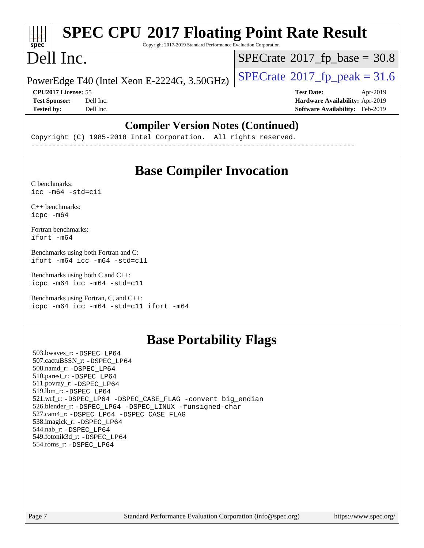# **[SPEC CPU](http://www.spec.org/auto/cpu2017/Docs/result-fields.html#SPECCPU2017FloatingPointRateResult)[2017 Floating Point Rate Result](http://www.spec.org/auto/cpu2017/Docs/result-fields.html#SPECCPU2017FloatingPointRateResult)**

Copyright 2017-2019 Standard Performance Evaluation Corporation

# Dell Inc.

**[spec](http://www.spec.org/)**

 $\pm\pm\gamma$ 

 $SPECTate@2017_fp\_base = 30.8$ 

PowerEdge T40 (Intel Xeon E-2224G, 3.50GHz)  $\left|$  [SPECrate](http://www.spec.org/auto/cpu2017/Docs/result-fields.html#SPECrate2017fppeak)®[2017\\_fp\\_peak = 3](http://www.spec.org/auto/cpu2017/Docs/result-fields.html#SPECrate2017fppeak)1.6

**[CPU2017 License:](http://www.spec.org/auto/cpu2017/Docs/result-fields.html#CPU2017License)** 55 **[Test Date:](http://www.spec.org/auto/cpu2017/Docs/result-fields.html#TestDate)** Apr-2019 **[Test Sponsor:](http://www.spec.org/auto/cpu2017/Docs/result-fields.html#TestSponsor)** Dell Inc. **[Hardware Availability:](http://www.spec.org/auto/cpu2017/Docs/result-fields.html#HardwareAvailability)** Apr-2019 **[Tested by:](http://www.spec.org/auto/cpu2017/Docs/result-fields.html#Testedby)** Dell Inc. **[Software Availability:](http://www.spec.org/auto/cpu2017/Docs/result-fields.html#SoftwareAvailability)** Feb-2019

#### **[Compiler Version Notes \(Continued\)](http://www.spec.org/auto/cpu2017/Docs/result-fields.html#CompilerVersionNotes)**

Copyright (C) 1985-2018 Intel Corporation. All rights reserved. ------------------------------------------------------------------------------

## **[Base Compiler Invocation](http://www.spec.org/auto/cpu2017/Docs/result-fields.html#BaseCompilerInvocation)**

[C benchmarks](http://www.spec.org/auto/cpu2017/Docs/result-fields.html#Cbenchmarks):  $\text{icc}$  -m64 -std=c11

[C++ benchmarks:](http://www.spec.org/auto/cpu2017/Docs/result-fields.html#CXXbenchmarks) [icpc -m64](http://www.spec.org/cpu2017/results/res2019q3/cpu2017-20190831-17299.flags.html#user_CXXbase_intel_icpc_64bit_4ecb2543ae3f1412ef961e0650ca070fec7b7afdcd6ed48761b84423119d1bf6bdf5cad15b44d48e7256388bc77273b966e5eb805aefd121eb22e9299b2ec9d9)

[Fortran benchmarks](http://www.spec.org/auto/cpu2017/Docs/result-fields.html#Fortranbenchmarks): [ifort -m64](http://www.spec.org/cpu2017/results/res2019q3/cpu2017-20190831-17299.flags.html#user_FCbase_intel_ifort_64bit_24f2bb282fbaeffd6157abe4f878425411749daecae9a33200eee2bee2fe76f3b89351d69a8130dd5949958ce389cf37ff59a95e7a40d588e8d3a57e0c3fd751)

[Benchmarks using both Fortran and C](http://www.spec.org/auto/cpu2017/Docs/result-fields.html#BenchmarksusingbothFortranandC): [ifort -m64](http://www.spec.org/cpu2017/results/res2019q3/cpu2017-20190831-17299.flags.html#user_CC_FCbase_intel_ifort_64bit_24f2bb282fbaeffd6157abe4f878425411749daecae9a33200eee2bee2fe76f3b89351d69a8130dd5949958ce389cf37ff59a95e7a40d588e8d3a57e0c3fd751) [icc -m64 -std=c11](http://www.spec.org/cpu2017/results/res2019q3/cpu2017-20190831-17299.flags.html#user_CC_FCbase_intel_icc_64bit_c11_33ee0cdaae7deeeab2a9725423ba97205ce30f63b9926c2519791662299b76a0318f32ddfffdc46587804de3178b4f9328c46fa7c2b0cd779d7a61945c91cd35)

[Benchmarks using both C and C++](http://www.spec.org/auto/cpu2017/Docs/result-fields.html#BenchmarksusingbothCandCXX): [icpc -m64](http://www.spec.org/cpu2017/results/res2019q3/cpu2017-20190831-17299.flags.html#user_CC_CXXbase_intel_icpc_64bit_4ecb2543ae3f1412ef961e0650ca070fec7b7afdcd6ed48761b84423119d1bf6bdf5cad15b44d48e7256388bc77273b966e5eb805aefd121eb22e9299b2ec9d9) [icc -m64 -std=c11](http://www.spec.org/cpu2017/results/res2019q3/cpu2017-20190831-17299.flags.html#user_CC_CXXbase_intel_icc_64bit_c11_33ee0cdaae7deeeab2a9725423ba97205ce30f63b9926c2519791662299b76a0318f32ddfffdc46587804de3178b4f9328c46fa7c2b0cd779d7a61945c91cd35)

[Benchmarks using Fortran, C, and C++:](http://www.spec.org/auto/cpu2017/Docs/result-fields.html#BenchmarksusingFortranCandCXX) [icpc -m64](http://www.spec.org/cpu2017/results/res2019q3/cpu2017-20190831-17299.flags.html#user_CC_CXX_FCbase_intel_icpc_64bit_4ecb2543ae3f1412ef961e0650ca070fec7b7afdcd6ed48761b84423119d1bf6bdf5cad15b44d48e7256388bc77273b966e5eb805aefd121eb22e9299b2ec9d9) [icc -m64 -std=c11](http://www.spec.org/cpu2017/results/res2019q3/cpu2017-20190831-17299.flags.html#user_CC_CXX_FCbase_intel_icc_64bit_c11_33ee0cdaae7deeeab2a9725423ba97205ce30f63b9926c2519791662299b76a0318f32ddfffdc46587804de3178b4f9328c46fa7c2b0cd779d7a61945c91cd35) [ifort -m64](http://www.spec.org/cpu2017/results/res2019q3/cpu2017-20190831-17299.flags.html#user_CC_CXX_FCbase_intel_ifort_64bit_24f2bb282fbaeffd6157abe4f878425411749daecae9a33200eee2bee2fe76f3b89351d69a8130dd5949958ce389cf37ff59a95e7a40d588e8d3a57e0c3fd751)

## **[Base Portability Flags](http://www.spec.org/auto/cpu2017/Docs/result-fields.html#BasePortabilityFlags)**

 503.bwaves\_r: [-DSPEC\\_LP64](http://www.spec.org/cpu2017/results/res2019q3/cpu2017-20190831-17299.flags.html#suite_basePORTABILITY503_bwaves_r_DSPEC_LP64) 507.cactuBSSN\_r: [-DSPEC\\_LP64](http://www.spec.org/cpu2017/results/res2019q3/cpu2017-20190831-17299.flags.html#suite_basePORTABILITY507_cactuBSSN_r_DSPEC_LP64) 508.namd\_r: [-DSPEC\\_LP64](http://www.spec.org/cpu2017/results/res2019q3/cpu2017-20190831-17299.flags.html#suite_basePORTABILITY508_namd_r_DSPEC_LP64) 510.parest\_r: [-DSPEC\\_LP64](http://www.spec.org/cpu2017/results/res2019q3/cpu2017-20190831-17299.flags.html#suite_basePORTABILITY510_parest_r_DSPEC_LP64) 511.povray\_r: [-DSPEC\\_LP64](http://www.spec.org/cpu2017/results/res2019q3/cpu2017-20190831-17299.flags.html#suite_basePORTABILITY511_povray_r_DSPEC_LP64) 519.lbm\_r: [-DSPEC\\_LP64](http://www.spec.org/cpu2017/results/res2019q3/cpu2017-20190831-17299.flags.html#suite_basePORTABILITY519_lbm_r_DSPEC_LP64) 521.wrf\_r: [-DSPEC\\_LP64](http://www.spec.org/cpu2017/results/res2019q3/cpu2017-20190831-17299.flags.html#suite_basePORTABILITY521_wrf_r_DSPEC_LP64) [-DSPEC\\_CASE\\_FLAG](http://www.spec.org/cpu2017/results/res2019q3/cpu2017-20190831-17299.flags.html#b521.wrf_r_baseCPORTABILITY_DSPEC_CASE_FLAG) [-convert big\\_endian](http://www.spec.org/cpu2017/results/res2019q3/cpu2017-20190831-17299.flags.html#user_baseFPORTABILITY521_wrf_r_convert_big_endian_c3194028bc08c63ac5d04de18c48ce6d347e4e562e8892b8bdbdc0214820426deb8554edfa529a3fb25a586e65a3d812c835984020483e7e73212c4d31a38223) 526.blender\_r: [-DSPEC\\_LP64](http://www.spec.org/cpu2017/results/res2019q3/cpu2017-20190831-17299.flags.html#suite_basePORTABILITY526_blender_r_DSPEC_LP64) [-DSPEC\\_LINUX](http://www.spec.org/cpu2017/results/res2019q3/cpu2017-20190831-17299.flags.html#b526.blender_r_baseCPORTABILITY_DSPEC_LINUX) [-funsigned-char](http://www.spec.org/cpu2017/results/res2019q3/cpu2017-20190831-17299.flags.html#user_baseCPORTABILITY526_blender_r_force_uchar_40c60f00ab013830e2dd6774aeded3ff59883ba5a1fc5fc14077f794d777847726e2a5858cbc7672e36e1b067e7e5c1d9a74f7176df07886a243d7cc18edfe67) 527.cam4\_r: [-DSPEC\\_LP64](http://www.spec.org/cpu2017/results/res2019q3/cpu2017-20190831-17299.flags.html#suite_basePORTABILITY527_cam4_r_DSPEC_LP64) [-DSPEC\\_CASE\\_FLAG](http://www.spec.org/cpu2017/results/res2019q3/cpu2017-20190831-17299.flags.html#b527.cam4_r_baseCPORTABILITY_DSPEC_CASE_FLAG) 538.imagick\_r: [-DSPEC\\_LP64](http://www.spec.org/cpu2017/results/res2019q3/cpu2017-20190831-17299.flags.html#suite_basePORTABILITY538_imagick_r_DSPEC_LP64) 544.nab\_r: [-DSPEC\\_LP64](http://www.spec.org/cpu2017/results/res2019q3/cpu2017-20190831-17299.flags.html#suite_basePORTABILITY544_nab_r_DSPEC_LP64) 549.fotonik3d\_r: [-DSPEC\\_LP64](http://www.spec.org/cpu2017/results/res2019q3/cpu2017-20190831-17299.flags.html#suite_basePORTABILITY549_fotonik3d_r_DSPEC_LP64) 554.roms\_r: [-DSPEC\\_LP64](http://www.spec.org/cpu2017/results/res2019q3/cpu2017-20190831-17299.flags.html#suite_basePORTABILITY554_roms_r_DSPEC_LP64)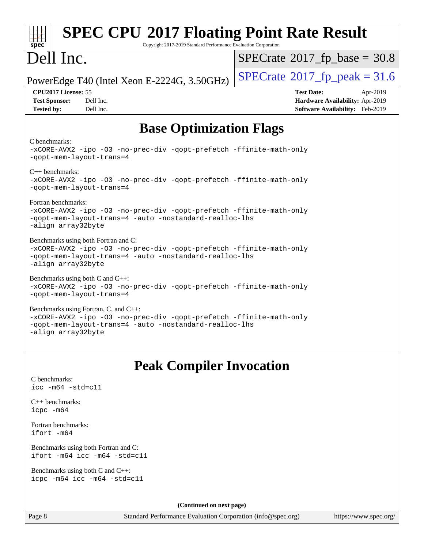| <b>SPEC CPU®2017 Floating Point Rate Result</b><br>$spec^*$<br>Copyright 2017-2019 Standard Performance Evaluation Corporation                                                               |                                                                                                            |  |  |  |  |
|----------------------------------------------------------------------------------------------------------------------------------------------------------------------------------------------|------------------------------------------------------------------------------------------------------------|--|--|--|--|
| Dell Inc.                                                                                                                                                                                    | $SPECrate^{\circ}2017$ fp base = 30.8                                                                      |  |  |  |  |
| PowerEdge T40 (Intel Xeon E-2224G, 3.50GHz)                                                                                                                                                  | $SPECTate@2017fp peak = 31.6$                                                                              |  |  |  |  |
| CPU <sub>2017</sub> License: 55<br><b>Test Sponsor:</b><br>Dell Inc.<br><b>Tested by:</b><br>Dell Inc.                                                                                       | <b>Test Date:</b><br>Apr-2019<br>Hardware Availability: Apr-2019<br><b>Software Availability:</b> Feb-2019 |  |  |  |  |
| <b>Base Optimization Flags</b>                                                                                                                                                               |                                                                                                            |  |  |  |  |
| C benchmarks:<br>-xCORE-AVX2 -ipo -03 -no-prec-div -qopt-prefetch -ffinite-math-only<br>-qopt-mem-layout-trans=4                                                                             |                                                                                                            |  |  |  |  |
| $C_{++}$ benchmarks:<br>-xCORE-AVX2 -ipo -03 -no-prec-div -qopt-prefetch -ffinite-math-only<br>-qopt-mem-layout-trans=4                                                                      |                                                                                                            |  |  |  |  |
| Fortran benchmarks:<br>-xCORE-AVX2 -ipo -03 -no-prec-div -qopt-prefetch -ffinite-math-only<br>-qopt-mem-layout-trans=4 -auto -nostandard-realloc-lhs<br>-align array32byte                   |                                                                                                            |  |  |  |  |
| Benchmarks using both Fortran and C:<br>-xCORE-AVX2 -ipo -03 -no-prec-div -qopt-prefetch -ffinite-math-only<br>-qopt-mem-layout-trans=4 -auto -nostandard-realloc-lhs<br>-align array32byte  |                                                                                                            |  |  |  |  |
| Benchmarks using both $C$ and $C++$ :<br>-xCORE-AVX2 -ipo -03 -no-prec-div -qopt-prefetch -ffinite-math-only<br>-qopt-mem-layout-trans=4                                                     |                                                                                                            |  |  |  |  |
| Benchmarks using Fortran, C, and C++:<br>-xCORE-AVX2 -ipo -03 -no-prec-div -qopt-prefetch -ffinite-math-only<br>-gopt-mem-layout-trans=4 -auto -nostandard-realloc-lhs<br>-align array32byte |                                                                                                            |  |  |  |  |
| <b>Peak Compiler Invocation</b>                                                                                                                                                              |                                                                                                            |  |  |  |  |
| C benchmarks:<br>$\text{icc}$ -m64 -std=c11                                                                                                                                                  |                                                                                                            |  |  |  |  |
| $C_{++}$ benchmarks:<br>icpc -m64                                                                                                                                                            |                                                                                                            |  |  |  |  |
| Fortran benchmarks:<br>ifort -m64                                                                                                                                                            |                                                                                                            |  |  |  |  |
| Benchmarks using both Fortran and C:<br>ifort -m64 icc -m64 -std=c11                                                                                                                         |                                                                                                            |  |  |  |  |
| Benchmarks using both $C$ and $C_{++}$ :<br>icpc -m64 icc -m64 -std=c11                                                                                                                      |                                                                                                            |  |  |  |  |
| (Continued on next page)                                                                                                                                                                     |                                                                                                            |  |  |  |  |

Page 8 Standard Performance Evaluation Corporation [\(info@spec.org\)](mailto:info@spec.org) <https://www.spec.org/>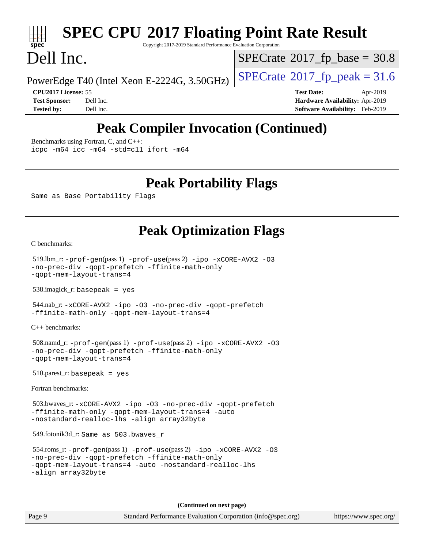# **[SPEC CPU](http://www.spec.org/auto/cpu2017/Docs/result-fields.html#SPECCPU2017FloatingPointRateResult)[2017 Floating Point Rate Result](http://www.spec.org/auto/cpu2017/Docs/result-fields.html#SPECCPU2017FloatingPointRateResult)**

Copyright 2017-2019 Standard Performance Evaluation Corporation

# Dell Inc.

**[spec](http://www.spec.org/)**

 $SPECTate$ <sup>®</sup>[2017\\_fp\\_base =](http://www.spec.org/auto/cpu2017/Docs/result-fields.html#SPECrate2017fpbase) 30.8

PowerEdge T40 (Intel Xeon E-2224G, 3.50GHz)  $\left|$  [SPECrate](http://www.spec.org/auto/cpu2017/Docs/result-fields.html#SPECrate2017fppeak)®[2017\\_fp\\_peak = 3](http://www.spec.org/auto/cpu2017/Docs/result-fields.html#SPECrate2017fppeak)1.6

**[CPU2017 License:](http://www.spec.org/auto/cpu2017/Docs/result-fields.html#CPU2017License)** 55 **[Test Date:](http://www.spec.org/auto/cpu2017/Docs/result-fields.html#TestDate)** Apr-2019 **[Test Sponsor:](http://www.spec.org/auto/cpu2017/Docs/result-fields.html#TestSponsor)** Dell Inc. **[Hardware Availability:](http://www.spec.org/auto/cpu2017/Docs/result-fields.html#HardwareAvailability)** Apr-2019 **[Tested by:](http://www.spec.org/auto/cpu2017/Docs/result-fields.html#Testedby)** Dell Inc. **[Software Availability:](http://www.spec.org/auto/cpu2017/Docs/result-fields.html#SoftwareAvailability)** Feb-2019

## **[Peak Compiler Invocation \(Continued\)](http://www.spec.org/auto/cpu2017/Docs/result-fields.html#PeakCompilerInvocation)**

[Benchmarks using Fortran, C, and C++:](http://www.spec.org/auto/cpu2017/Docs/result-fields.html#BenchmarksusingFortranCandCXX) [icpc -m64](http://www.spec.org/cpu2017/results/res2019q3/cpu2017-20190831-17299.flags.html#user_CC_CXX_FCpeak_intel_icpc_64bit_4ecb2543ae3f1412ef961e0650ca070fec7b7afdcd6ed48761b84423119d1bf6bdf5cad15b44d48e7256388bc77273b966e5eb805aefd121eb22e9299b2ec9d9) [icc -m64 -std=c11](http://www.spec.org/cpu2017/results/res2019q3/cpu2017-20190831-17299.flags.html#user_CC_CXX_FCpeak_intel_icc_64bit_c11_33ee0cdaae7deeeab2a9725423ba97205ce30f63b9926c2519791662299b76a0318f32ddfffdc46587804de3178b4f9328c46fa7c2b0cd779d7a61945c91cd35) [ifort -m64](http://www.spec.org/cpu2017/results/res2019q3/cpu2017-20190831-17299.flags.html#user_CC_CXX_FCpeak_intel_ifort_64bit_24f2bb282fbaeffd6157abe4f878425411749daecae9a33200eee2bee2fe76f3b89351d69a8130dd5949958ce389cf37ff59a95e7a40d588e8d3a57e0c3fd751)

**[Peak Portability Flags](http://www.spec.org/auto/cpu2017/Docs/result-fields.html#PeakPortabilityFlags)**

Same as Base Portability Flags

## **[Peak Optimization Flags](http://www.spec.org/auto/cpu2017/Docs/result-fields.html#PeakOptimizationFlags)**

[C benchmarks](http://www.spec.org/auto/cpu2017/Docs/result-fields.html#Cbenchmarks):

```
 519.lbm_r: -prof-gen(pass 1) -prof-use(pass 2) -ipo -xCORE-AVX2 -O3
-no-prec-div -qopt-prefetch -ffinite-math-only
-qopt-mem-layout-trans=4
```
538.imagick\_r: basepeak = yes

```
 544.nab_r: -xCORE-AVX2 -ipo -O3 -no-prec-div -qopt-prefetch
-ffinite-math-only -qopt-mem-layout-trans=4
```
[C++ benchmarks:](http://www.spec.org/auto/cpu2017/Docs/result-fields.html#CXXbenchmarks)

```
 508.namd_r: -prof-gen(pass 1) -prof-use(pass 2) -ipo -xCORE-AVX2 -O3
-no-prec-div -qopt-prefetch -ffinite-math-only
-qopt-mem-layout-trans=4
```
510.parest\_r: basepeak = yes

[Fortran benchmarks](http://www.spec.org/auto/cpu2017/Docs/result-fields.html#Fortranbenchmarks):

 503.bwaves\_r: [-xCORE-AVX2](http://www.spec.org/cpu2017/results/res2019q3/cpu2017-20190831-17299.flags.html#user_peakFOPTIMIZE503_bwaves_r_f-xCORE-AVX2) [-ipo](http://www.spec.org/cpu2017/results/res2019q3/cpu2017-20190831-17299.flags.html#user_peakFOPTIMIZE503_bwaves_r_f-ipo) [-O3](http://www.spec.org/cpu2017/results/res2019q3/cpu2017-20190831-17299.flags.html#user_peakFOPTIMIZE503_bwaves_r_f-O3) [-no-prec-div](http://www.spec.org/cpu2017/results/res2019q3/cpu2017-20190831-17299.flags.html#user_peakFOPTIMIZE503_bwaves_r_f-no-prec-div) [-qopt-prefetch](http://www.spec.org/cpu2017/results/res2019q3/cpu2017-20190831-17299.flags.html#user_peakFOPTIMIZE503_bwaves_r_f-qopt-prefetch) [-ffinite-math-only](http://www.spec.org/cpu2017/results/res2019q3/cpu2017-20190831-17299.flags.html#user_peakFOPTIMIZE503_bwaves_r_f_finite_math_only_cb91587bd2077682c4b38af759c288ed7c732db004271a9512da14a4f8007909a5f1427ecbf1a0fb78ff2a814402c6114ac565ca162485bbcae155b5e4258871) [-qopt-mem-layout-trans=4](http://www.spec.org/cpu2017/results/res2019q3/cpu2017-20190831-17299.flags.html#user_peakFOPTIMIZE503_bwaves_r_f-qopt-mem-layout-trans_fa39e755916c150a61361b7846f310bcdf6f04e385ef281cadf3647acec3f0ae266d1a1d22d972a7087a248fd4e6ca390a3634700869573d231a252c784941a8) [-auto](http://www.spec.org/cpu2017/results/res2019q3/cpu2017-20190831-17299.flags.html#user_peakFOPTIMIZE503_bwaves_r_f-auto) [-nostandard-realloc-lhs](http://www.spec.org/cpu2017/results/res2019q3/cpu2017-20190831-17299.flags.html#user_peakEXTRA_FOPTIMIZE503_bwaves_r_f_2003_std_realloc_82b4557e90729c0f113870c07e44d33d6f5a304b4f63d4c15d2d0f1fab99f5daaed73bdb9275d9ae411527f28b936061aa8b9c8f2d63842963b95c9dd6426b8a) [-align array32byte](http://www.spec.org/cpu2017/results/res2019q3/cpu2017-20190831-17299.flags.html#user_peakEXTRA_FOPTIMIZE503_bwaves_r_align_array32byte_b982fe038af199962ba9a80c053b8342c548c85b40b8e86eb3cc33dee0d7986a4af373ac2d51c3f7cf710a18d62fdce2948f201cd044323541f22fc0fffc51b6)

549.fotonik3d\_r: Same as 503.bwaves\_r

```
 554.roms_r: -prof-gen(pass 1) -prof-use(pass 2) -ipo -xCORE-AVX2 -O3
-no-prec-div -qopt-prefetch -ffinite-math-only
-qopt-mem-layout-trans=4 -auto -nostandard-realloc-lhs
-align array32byte
```
**(Continued on next page)**